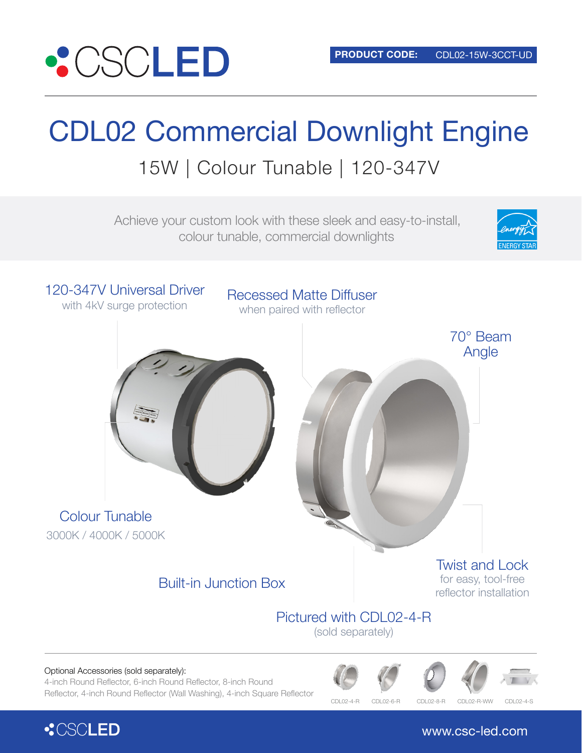

# CDL02 Commercial Downlight Engine 15W | Colour Tunable | 120-347V

Achieve your custom look with these sleek and easy-to-install, colour tunable, commercial downlights





4-inch Round Reflector, 6-inch Round Reflector, 8-inch Round Reflector, 4-inch Round Reflector (Wall Washing), 4-inch Square Reflector



CDL02-6-R CDL02-8-R CDL02-R-WW CDL02-4-S



www.csc-led.com